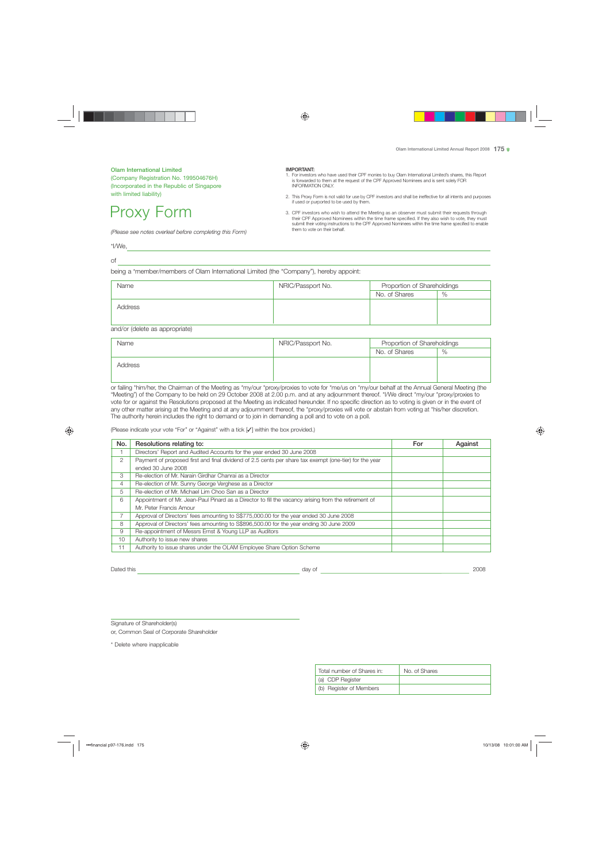Olam International Limited (Company Registration No. 199504676H) (Incorporated in the Republic of Singapore with limited liability)

# Proxy Form

*(Please see notes overleaf before completing this Form)*

#### IMPORTANT:

- 1. For investors who have used their CPF monies to buy Olam International Limited's shares, this Report is forwarded to them at the request of the CPF Approved Nominees and is sent solely FOR INFORMATION ONLY.
- 2. This Proxy Form is not valid for use by CPF investors and shall be ineffective for all intents and purposes if used or purported to be used by them.
- 3. CPF investors who wish to attend the Meeting as an observer must submit their requests through their CPF Approved Nominees within the time frame specified. If they also wish to vote, they must submit their voting instructions to the CPF Approved Nominees within the time frame specified to enable them to vote on their behalf.

\*I/We,

of

being a \*member/members of Olam International Limited (the "Company"), hereby appoint:

|         | NRIC/Passport No. | Proportion of Shareholdings |      |
|---------|-------------------|-----------------------------|------|
|         |                   | No. of Shares               | $\%$ |
| Address |                   |                             |      |

and/or (delete as appropriate)

| Name    | NRIC/Passport No. | Proportion of Shareholdings |      |
|---------|-------------------|-----------------------------|------|
|         |                   | No. of Shares               | $\%$ |
| Address |                   |                             |      |

or failing \*him/her, the Chairman of the Meeting as \*my/our \*proxy/proxies to vote for \*me/us on \*my/our behalf at the Annual General Meeting (the "Meeting") of the Company to be held on 29 October 2008 at 2.00 p.m. and at any adjournment thereof. \*I/We direct \*my/our \*proxy/proxies to vote for or against the Resolutions proposed at the Meeting as indicated hereunder. If no specific direction as to voting is given or in the event of any other matter arising at the Meeting and at any adjournment thereof, the \*proxy/proxies will vote or abstain from voting at \*his/her discretion. The authority herein includes the right to demand or to join in demanding a poll and to vote on a poll.

(Please indicate your vote "For" or "Against" with a tick [✓] within the box provided.)

| No. | Resolutions relating to:                                                                               | For | Against |
|-----|--------------------------------------------------------------------------------------------------------|-----|---------|
|     | Directors' Report and Audited Accounts for the year ended 30 June 2008                                 |     |         |
| 2   | Payment of proposed first and final dividend of 2.5 cents per share tax exempt (one-tier) for the year |     |         |
|     | ended 30 June 2008                                                                                     |     |         |
| 3   | Re-election of Mr. Narain Girdhar Chanrai as a Director                                                |     |         |
| 4   | Re-election of Mr. Sunny George Verghese as a Director                                                 |     |         |
| 5   | Re-election of Mr. Michael Lim Choo San as a Director                                                  |     |         |
| 6   | Appointment of Mr. Jean-Paul Pinard as a Director to fill the vacancy arising from the retirement of   |     |         |
|     | Mr. Peter Francis Amour                                                                                |     |         |
|     | Approval of Directors' fees amounting to S\$775,000.00 for the year ended 30 June 2008                 |     |         |
| 8   | Approval of Directors' fees amounting to S\$896,500.00 for the year ending 30 June 2009                |     |         |
| 9   | Re-appointment of Messrs Ernst & Young LLP as Auditors                                                 |     |         |
| 10  | Authority to issue new shares                                                                          |     |         |
| 11  | Authority to issue shares under the OLAM Employee Share Option Scheme                                  |     |         |

Dated this day of 2008

Signature of Shareholder(s)

or, Common Seal of Corporate Shareholder

\* Delete where inapplicable

| Total number of Shares in: | No. of Shares |
|----------------------------|---------------|
| (a) CDP Register           |               |
| (b) Register of Members    |               |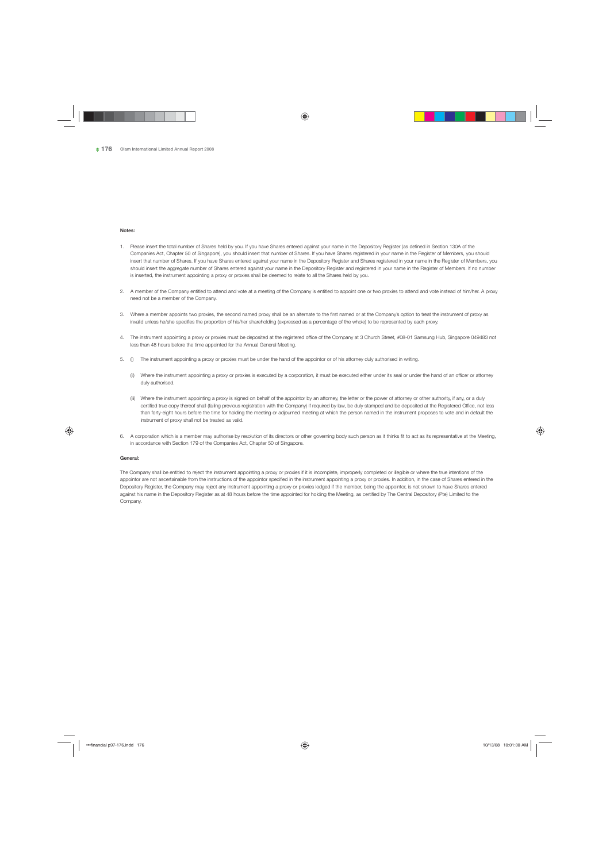### Notes:

- 1. Please insert the total number of Shares held by you. If you have Shares entered against your name in the Depository Register (as defined in Section 130A of the Companies Act, Chapter 50 of Singapore), you should insert that number of Shares. If you have Shares registered in your name in the Register of Members, you should insert that number of Shares. If you have Shares entered against your name in the Depository Register and Shares registered in your name in the Register of Members, you should insert the aggregate number of Shares entered against your name in the Depository Register and registered in your name in the Register of Members. If no number is inserted, the instrument appointing a proxy or proxies shall be deemed to relate to all the Shares held by you.
- 2. A member of the Company entitled to attend and vote at a meeting of the Company is entitled to appoint one or two proxies to attend and vote instead of him/her. A proxy need not be a member of the Company.
- 3. Where a member appoints two proxies, the second named proxy shall be an alternate to the first named or at the Company's option to treat the instrument of proxy as invalid unless he/she specifies the proportion of his/her shareholding (expressed as a percentage of the whole) to be represented by each proxy.
- 4. The instrument appointing a proxy or proxies must be deposited at the registered office of the Company at 3 Church Street, #08-01 Samsung Hub, Singapore 049483 not less than 48 hours before the time appointed for the Annual General Meeting.
- 5. (i) The instrument appointing a proxy or proxies must be under the hand of the appointor or of his attorney duly authorised in writing.
	- (ii) Where the instrument appointing a proxy or proxies is executed by a corporation, it must be executed either under its seal or under the hand of an officer or attorney duly authorised.
	- (iii) Where the instrument appointing a proxy is signed on behalf of the appointor by an attorney, the letter or the power of attorney or other authority, if any, or a duly certified true copy thereof shall (failing previous registration with the Company) if required by law, be duly stamped and be deposited at the Registered Office, not less than forty-eight hours before the time for holding the meeting or adjourned meeting at which the person named in the instrument proposes to vote and in default the instrument of proxy shall not be treated as valid.
- 6. A corporation which is a member may authorise by resolution of its directors or other governing body such person as it thinks fit to act as its representative at the Meeting, in accordance with Section 179 of the Companies Act, Chapter 50 of Singapore.

## General:

The Company shall be entitled to reject the instrument appointing a proxy or proxies if it is incomplete, improperly completed or illegible or where the true intentions of the appointor are not ascertainable from the instructions of the appointor specified in the instrument appointing a proxy or proxies. In addition, in the case of Shares entered in the Depository Register, the Company may reject any instrument appointing a proxy or proxies lodged if the member, being the appointor, is not shown to have Shares entered against his name in the Depository Register as at 48 hours before the time appointed for holding the Meeting, as certified by The Central Depository (Pte) Limited to the Company.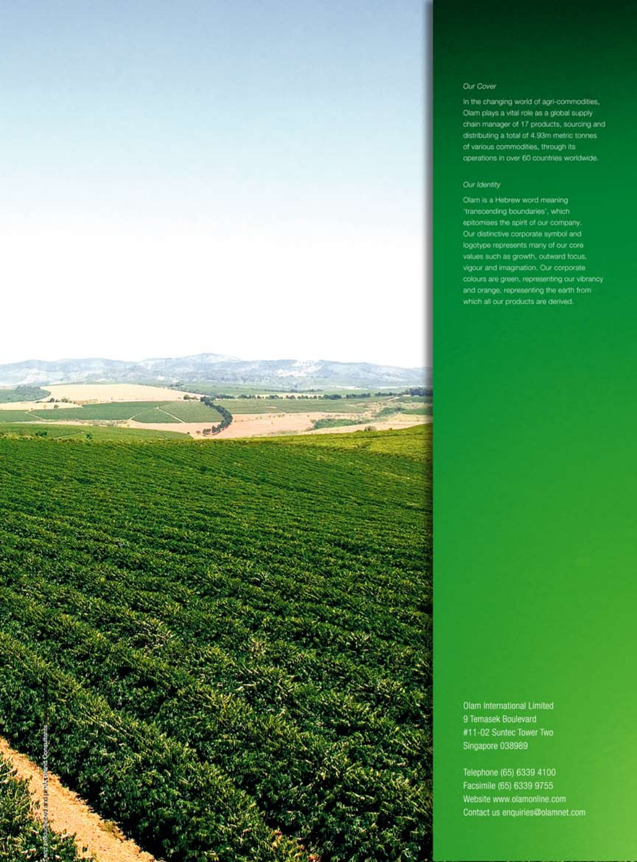# Our Cover

In the changing world of agri-commodities, Olam plays a vital role as a global supply chain manager of 17 products, sourcing and distributing a total of 4.93m metric tonnes. of various commodities, through its operations in over 60 countries worldwide.

# Our Identity

z. **STANDS** 

Olam is a Hebrew word meaning 'transcending boundaries', which epitomises the spirit of our company. Our distinctive corporate symbol and logotype represents many of our core values such as growth, outward focus, vigour and imagination. Our corporate colours are green, representing our vibrancy and orange, representing the earth from which all our products are derived.

Olam International Limited 9 Temasek Boulevard #11-02 Suntec Tower Two Singapore 038989

Telephone (65) 6339 4100 Facsimile (65) 6339 9755 Website www.olamonline.com Contact us enquiries@olamnet.com